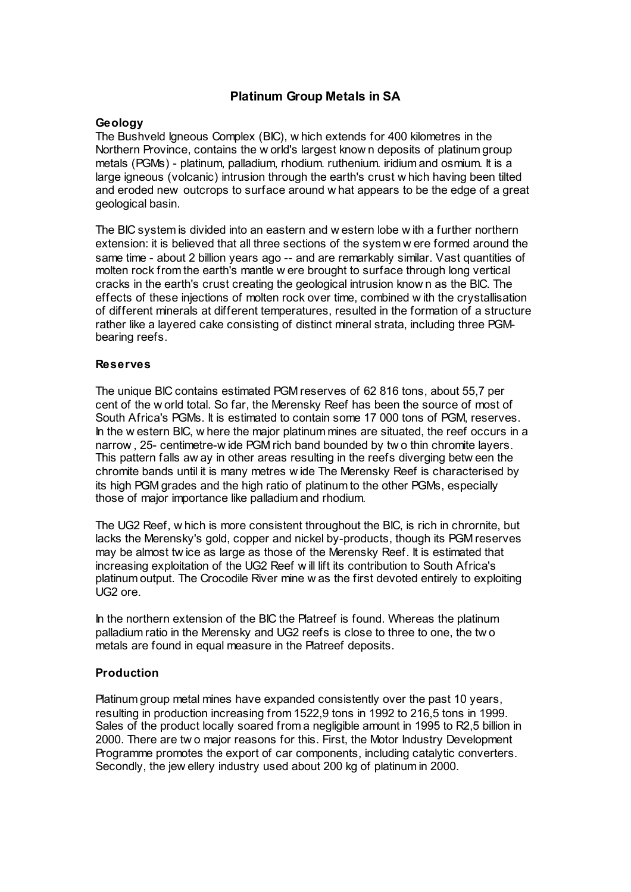# **Platinum Group Metals in SA**

## **Geology**

The Bushveld Igneous Complex (BIC), w hich extends for 400 kilometres in the Northern Province, contains the w orld's largest know n deposits of platinum group metals (PGMs) - platinum, palladium, rhodium. ruthenium. iridium and osmium. It is a large igneous (volcanic) intrusion through the earth's crust w hich having been tilted and eroded new outcrops to surface around w hat appears to be the edge of a great geological basin.

The BIC system is divided into an eastern and w estern lobe w ith a further northern extension: it is believed that all three sections of the system w ere formed around the same time - about 2 billion years ago -- and are remarkably similar. Vast quantities of molten rock from the earth's mantle w ere brought to surface through long vertical cracks in the earth's crust creating the geological intrusion know n as the BIC. The effects of these injections of molten rock over time, combined w ith the crystallisation of different minerals at different temperatures, resulted in the formation of a structure rather like a layered cake consisting of distinct mineral strata, including three PGMbearing reefs.

### **Reserves**

The unique BIC contains estimated PGM reserves of 62 816 tons, about 55,7 per cent of the w orld total. So far, the Merensky Reef has been the source of most of South Africa's PGMs. It is estimated to contain some 17 000 tons of PGM, reserves. In the w estern BIC, w here the major platinum mines are situated, the reef occurs in a narrow , 25- centimetre-w ide PGM rich band bounded by tw o thin chromite layers. This pattern falls aw ay in other areas resulting in the reefs diverging betw een the chromite bands until it is many metres w ide The Merensky Reef is characterised by its high PGM grades and the high ratio of platinum to the other PGMs, especially those of major importance like palladium and rhodium.

The UG2 Reef, w hich is more consistent throughout the BIC, is rich in chrornite, but lacks the Merensky's gold, copper and nickel by-products, though its PGM reserves may be almost tw ice as large as those of the Merensky Reef. It is estimated that increasing exploitation of the UG2 Reef w ill lift its contribution to South Africa's platinum output. The Crocodile River mine w as the first devoted entirely to exploiting UG2 ore.

In the northern extension of the BIC the Platreef is found. Whereas the platinum palladium ratio in the Merensky and UG2 reefs is close to three to one, the tw o metals are found in equal measure in the Platreef deposits.

# **Production**

Platinum group metal mines have expanded consistently over the past 10 years, resulting in production increasing from 1522,9 tons in 1992 to 216,5 tons in 1999. Sales of the product locally soared from a negligible amount in 1995 to R2,5 billion in 2000. There are tw o major reasons for this. First, the Motor Industry Development Programme promotes the export of car components, including catalytic converters. Secondly, the jew ellery industry used about 200 kg of platinum in 2000.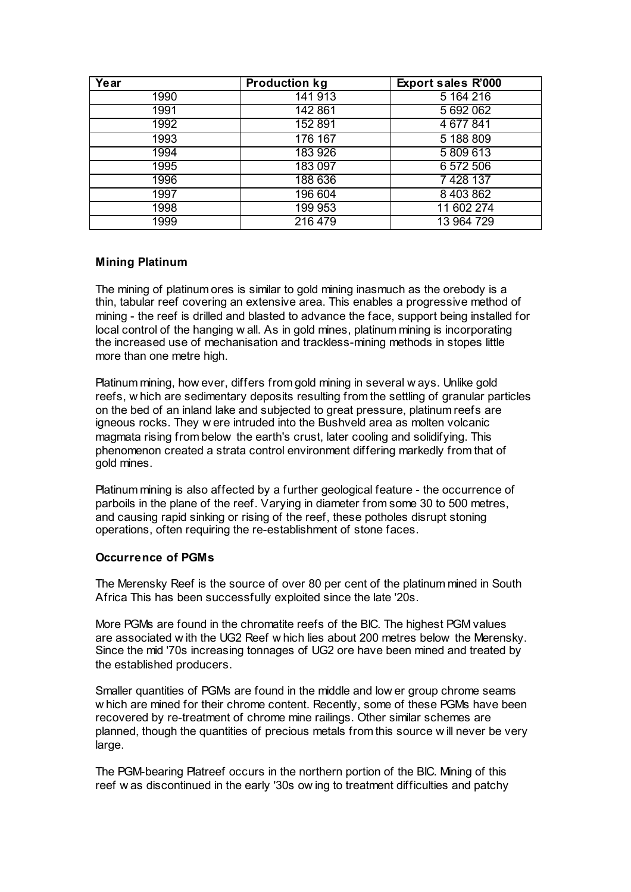| Year | <b>Production kg</b> | Export sales R'000 |
|------|----------------------|--------------------|
| 1990 | 141 913              | 5 164 216          |
| 1991 | 142 861              | 5 692 062          |
| 1992 | 152 891              | 4 677 841          |
| 1993 | 176 167              | 5 188 809          |
| 1994 | 183 926              | 5809613            |
| 1995 | 183 097              | 6 572 506          |
| 1996 | 188 636              | 7428137            |
| 1997 | 196 604              | 8 403 862          |
| 1998 | 199 953              | 11 602 274         |
| 1999 | 216 479              | 13 964 729         |

# **Mining Platinum**

The mining of platinum ores is similar to gold mining inasmuch as the orebody is a thin, tabular reef covering an extensive area. This enables a progressive method of mining - the reef is drilled and blasted to advance the face, support being installed for local control of the hanging w all. As in gold mines, platinum mining is incorporating the increased use of mechanisation and trackless-mining methods in stopes little more than one metre high.

Platinum mining, how ever, differs from gold mining in several w ays. Unlike gold reefs, w hich are sedimentary deposits resulting from the settling of granular particles on the bed of an inland lake and subjected to great pressure, platinum reefs are igneous rocks. They w ere intruded into the Bushveld area as molten volcanic magmata rising from below the earth's crust, later cooling and solidifying. This phenomenon created a strata control environment differing markedly from that of gold mines.

Platinum mining is also affected by a further geological feature - the occurrence of parboils in the plane of the reef. Varying in diameter from some 30 to 500 metres, and causing rapid sinking or rising of the reef, these potholes disrupt stoning operations, often requiring the re-establishment of stone faces.

# **Occurrence of PGMs**

The Merensky Reef is the source of over 80 per cent of the platinum mined in South Africa This has been successfully exploited since the late '20s.

More PGMs are found in the chromatite reefs of the BIC. The highest PGM values are associated w ith the UG2 Reef w hich lies about 200 metres below the Merensky. Since the mid '70s increasing tonnages of UG2 ore have been mined and treated by the established producers.

Smaller quantities of PGMs are found in the middle and low er group chrome seams w hich are mined for their chrome content. Recently, some of these PGMs have been recovered by re-treatment of chrome mine railings. Other similar schemes are planned, though the quantities of precious metals from this source w ill never be very large.

The PGM-bearing Platreef occurs in the northern portion of the BIC. Mining of this reef w as discontinued in the early '30s ow ing to treatment difficulties and patchy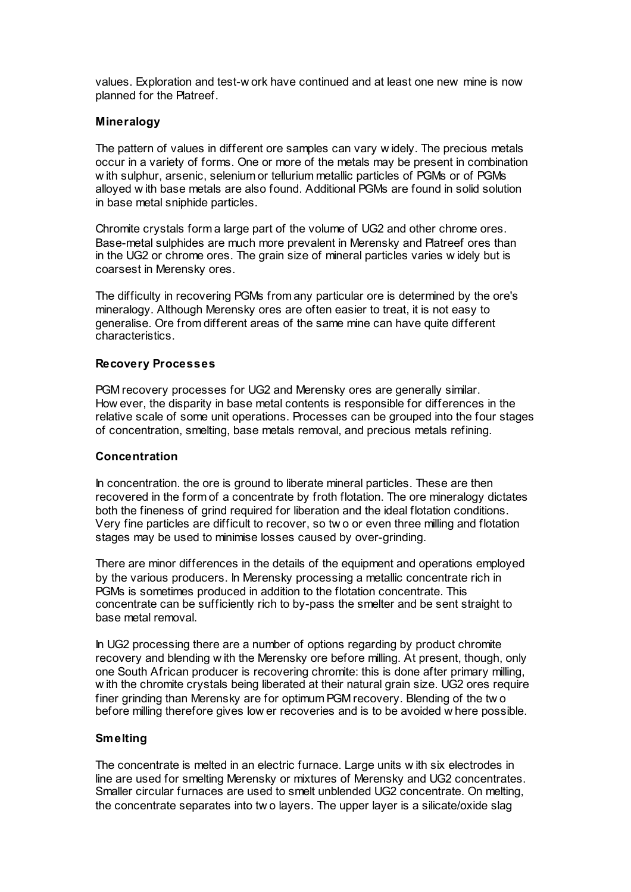values. Exploration and test-w ork have continued and at least one new mine is now planned for the Platreef.

### **Mineralogy**

The pattern of values in different ore samples can vary w idely. The precious metals occur in a variety of forms. One or more of the metals may be present in combination w ith sulphur, arsenic, selenium or tellurium metallic particles of PGMs or of PGMs alloyed w ith base metals are also found. Additional PGMs are found in solid solution in base metal sniphide particles.

Chromite crystals form a large part of the volume of UG2 and other chrome ores. Base-metal sulphides are much more prevalent in Merensky and Platreef ores than in the UG2 or chrome ores. The grain size of mineral particles varies w idely but is coarsest in Merensky ores.

The difficulty in recovering PGMs from any particular ore is determined by the ore's mineralogy. Although Merensky ores are often easier to treat, it is not easy to generalise. Ore from different areas of the same mine can have quite different characteristics.

### **Recovery Processes**

PGM recovery processes for UG2 and Merensky ores are generally similar. How ever, the disparity in base metal contents is responsible for differences in the relative scale of some unit operations. Processes can be grouped into the four stages of concentration, smelting, base metals removal, and precious metals refining.

### **Concentration**

In concentration. the ore is ground to liberate mineral particles. These are then recovered in the form of a concentrate by froth flotation. The ore mineralogy dictates both the fineness of grind required for liberation and the ideal flotation conditions. Very fine particles are difficult to recover, so tw o or even three milling and flotation stages may be used to minimise losses caused by over-grinding.

There are minor differences in the details of the equipment and operations employed by the various producers. In Merensky processing a metallic concentrate rich in PGMs is sometimes produced in addition to the flotation concentrate. This concentrate can be sufficiently rich to by-pass the smelter and be sent straight to base metal removal.

In UG2 processing there are a number of options regarding by product chromite recovery and blending w ith the Merensky ore before milling. At present, though, only one South African producer is recovering chromite: this is done after primary milling, w ith the chromite crystals being liberated at their natural grain size. UG2 ores require finer grinding than Merensky are for optimum PGM recovery. Blending of the tw o before milling therefore gives low er recoveries and is to be avoided w here possible.

# **Smelting**

The concentrate is melted in an electric furnace. Large units w ith six electrodes in line are used for smelting Merensky or mixtures of Merensky and UG2 concentrates. Smaller circular furnaces are used to smelt unblended UG2 concentrate. On melting, the concentrate separates into tw o layers. The upper layer is a silicate/oxide slag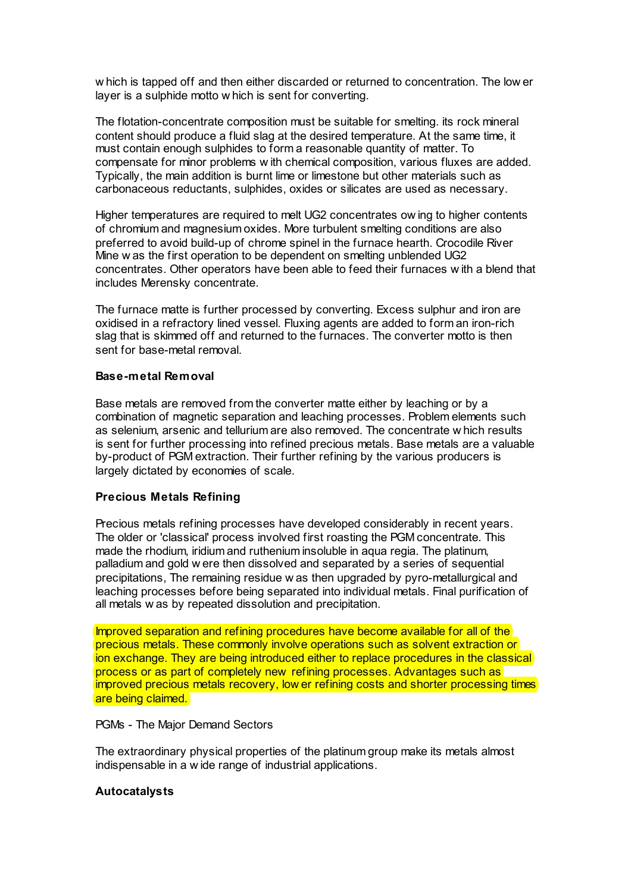w hich is tapped off and then either discarded or returned to concentration. The low er layer is a sulphide motto w hich is sent for converting.

The flotation-concentrate composition must be suitable for smelting. its rock mineral content should produce a fluid slag at the desired temperature. At the same time, it must contain enough sulphides to form a reasonable quantity of matter. To compensate for minor problems w ith chemical composition, various fluxes are added. Typically, the main addition is burnt lime or limestone but other materials such as carbonaceous reductants, sulphides, oxides or silicates are used as necessary.

Higher temperatures are required to melt UG2 concentrates ow ing to higher contents of chromium and magnesium oxides. More turbulent smelting conditions are also preferred to avoid build-up of chrome spinel in the furnace hearth. Crocodile River Mine w as the first operation to be dependent on smelting unblended UG2 concentrates. Other operators have been able to feed their furnaces w ith a blend that includes Merensky concentrate.

The furnace matte is further processed by converting. Excess sulphur and iron are oxidised in a refractory lined vessel. Fluxing agents are added to form an iron-rich slag that is skimmed off and returned to the furnaces. The converter motto is then sent for base-metal removal.

### **Base-metal Removal**

Base metals are removed from the converter matte either by leaching or by a combination of magnetic separation and leaching processes. Problem elements such as selenium, arsenic and tellurium are also removed. The concentrate w hich results is sent for further processing into refined precious metals. Base metals are a valuable by-product of PGM extraction. Their further refining by the various producers is largely dictated by economies of scale.

# **Precious Metals Refining**

Precious metals refining processes have developed considerably in recent years. The older or 'classical' process involved first roasting the PGM concentrate. This made the rhodium, iridium and ruthenium insoluble in aqua regia. The platinum, palladium and gold w ere then dissolved and separated by a series of sequential precipitations, The remaining residue w as then upgraded by pyro-metallurgical and leaching processes before being separated into individual metals. Final purification of all metals w as by repeated dissolution and precipitation.

Improved separation and refining procedures have become available for all of the precious metals. These commonly involve operations such as solvent extraction or ion exchange. They are being introduced either to replace procedures in the classical process or as part of completely new refining processes. Advantages such as improved precious metals recovery, low er refining costs and shorter processing times are being claimed.

### PGMs - The Major Demand Sectors

The extraordinary physical properties of the platinum group make its metals almost indispensable in a w ide range of industrial applications.

### **Autocatalysts**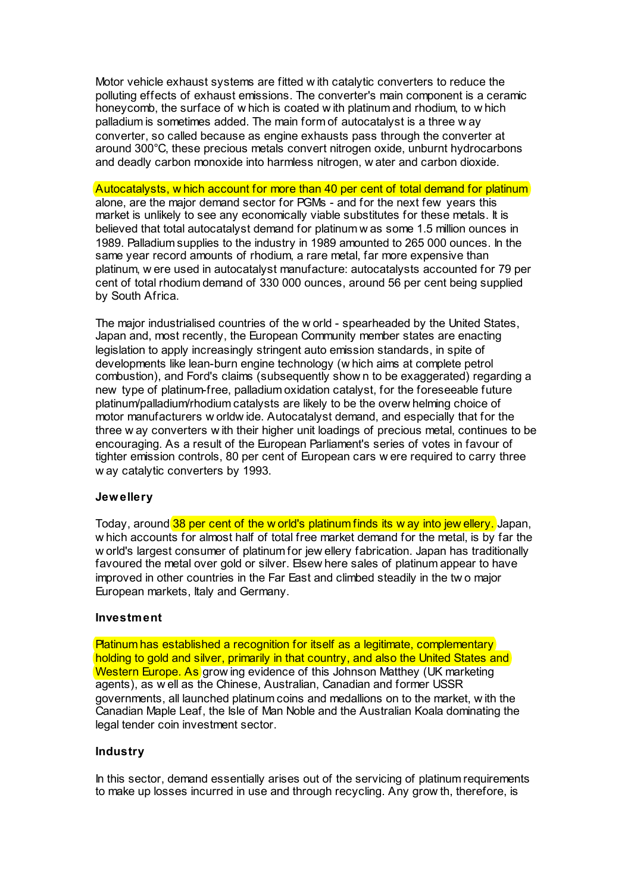Motor vehicle exhaust systems are fitted w ith catalytic converters to reduce the polluting effects of exhaust emissions. The converter's main component is a ceramic honeycomb, the surface of w hich is coated w ith platinum and rhodium, to w hich palladium is sometimes added. The main form of autocatalyst is a three w ay converter, so called because as engine exhausts pass through the converter at around 300°C, these precious metals convert nitrogen oxide, unburnt hydrocarbons and deadly carbon monoxide into harmless nitrogen, w ater and carbon dioxide.

### Autocatalysts, w hich account for more than 40 per cent of total demand for platinum

alone, are the major demand sector for PGMs - and for the next few years this market is unlikely to see any economically viable substitutes for these metals. It is believed that total autocatalyst demand for platinum w as some 1.5 million ounces in 1989. Palladium supplies to the industry in 1989 amounted to 265 000 ounces. In the same year record amounts of rhodium, a rare metal, far more expensive than platinum, w ere used in autocatalyst manufacture: autocatalysts accounted for 79 per cent of total rhodium demand of 330 000 ounces, around 56 per cent being supplied by South Africa.

The major industrialised countries of the w orld - spearheaded by the United States, Japan and, most recently, the European Community member states are enacting legislation to apply increasingly stringent auto emission standards, in spite of developments like lean-burn engine technology (w hich aims at complete petrol combustion), and Ford's claims (subsequently show n to be exaggerated) regarding a new type of platinum-free, palladium oxidation catalyst, for the foreseeable future platinum/palladium/rhodium catalysts are likely to be the overw helming choice of motor manufacturers w orldw ide. Autocatalyst demand, and especially that for the three w ay converters w ith their higher unit loadings of precious metal, continues to be encouraging. As a result of the European Parliament's series of votes in favour of tighter emission controls, 80 per cent of European cars w ere required to carry three w ay catalytic converters by 1993.

#### **Jewellery**

Today, around 38 per cent of the w orld's platinum finds its w ay into jew ellery. Japan, w hich accounts for almost half of total free market demand for the metal, is by far the w orld's largest consumer of platinum for jew ellery fabrication. Japan has traditionally favoured the metal over gold or silver. Elsew here sales of platinum appear to have improved in other countries in the Far East and climbed steadily in the tw o major European markets, Italy and Germany.

#### **Investment**

Platinum has established a recognition for itself as a legitimate, complementary holding to gold and silver, primarily in that country, and also the United States and Western Europe. As grow ing evidence of this Johnson Matthey (UK marketing agents), as w ell as the Chinese, Australian, Canadian and former USSR governments, all launched platinum coins and medallions on to the market, w ith the Canadian Maple Leaf, the Isle of Man Noble and the Australian Koala dominating the legal tender coin investment sector.

### **Industry**

In this sector, demand essentially arises out of the servicing of platinum requirements to make up losses incurred in use and through recycling. Any grow th, therefore, is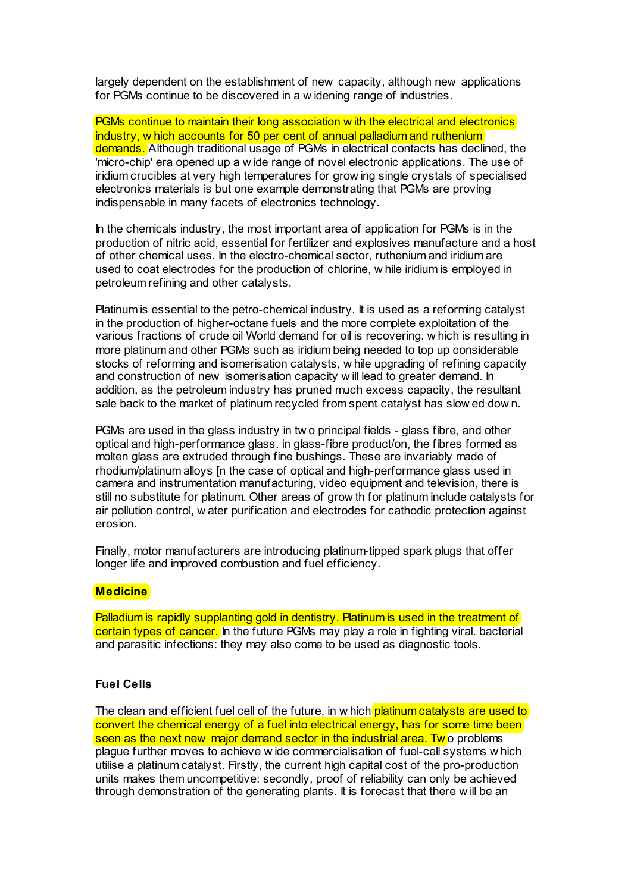largely dependent on the establishment of new capacity, although new applications for PGMs continue to be discovered in a w idening range of industries.

PGMs continue to maintain their long association w ith the electrical and electronics industry, w hich accounts for 50 per cent of annual palladium and ruthenium demands. Although traditional usage of PGMs in electrical contacts has declined, the 'micro-chip' era opened up a w ide range of novel electronic applications. The use of iridium crucibles at very high temperatures for grow ing single crystals of specialised electronics materials is but one example demonstrating that PGMs are proving indispensable in many facets of electronics technology.

In the chemicals industry, the most important area of application for PGMs is in the production of nitric acid, essential for fertilizer and explosives manufacture and a host of other chemical uses. In the electro-chemical sector, ruthenium and iridium are used to coat electrodes for the production of chlorine, w hile iridium is employed in petroleum refining and other catalysts.

Platinum is essential to the petro-chemical industry. It is used as a reforming catalyst in the production of higher-octane fuels and the more complete exploitation of the various fractions of crude oil World demand for oil is recovering. w hich is resulting in more platinum and other PGMs such as iridium being needed to top up considerable stocks of reforming and isomerisation catalysts, w hile upgrading of refining capacity and construction of new isomerisation capacity w ill lead to greater demand. In addition, as the petroleum industry has pruned much excess capacity, the resultant sale back to the market of platinum recycled from spent catalyst has slow ed dow n.

PGMs are used in the glass industry in tw o principal fields - glass fibre, and other optical and high-performance glass. in glass-fibre product/on, the fibres formed as molten glass are extruded through fine bushings. These are invariably made of rhodium/platinum alloys [n the case of optical and high-performance glass used in camera and instrumentation manufacturing, video equipment and television, there is still no substitute for platinum. Other areas of grow th for platinum include catalysts for air pollution control, w ater purification and electrodes for cathodic protection against erosion.

Finally, motor manufacturers are introducing platinum-tipped spark plugs that offer longer life and improved combustion and fuel efficiency.

### **Medicine**

Palladium is rapidly supplanting gold in dentistry. Platinum is used in the treatment of certain types of cancer. In the future PGMs may play a role in fighting viral. bacterial and parasitic infections: they may also come to be used as diagnostic tools.

### **Fuel Cells**

The clean and efficient fuel cell of the future, in w hich platinum catalysts are used to convert the chemical energy of a fuel into electrical energy, has for some time been seen as the next new major demand sector in the industrial area. Two problems plague further moves to achieve w ide commercialisation of fuel-cell systems w hich utilise a platinum catalyst. Firstly, the current high capital cost of the pro-production units makes them uncompetitive: secondly, proof of reliability can only be achieved through demonstration of the generating plants. It is forecast that there w ill be an